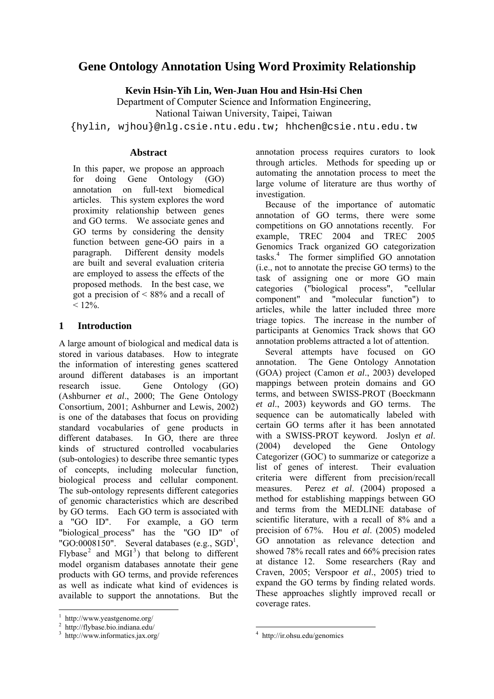# **Gene Ontology Annotation Using Word Proximity Relationship**

**Kevin Hsin-Yih Lin, Wen-Juan Hou and Hsin-Hsi Chen**

Department of Computer Science and Information Engineering, National Taiwan University, Taipei, Taiwan

{hylin, wjhou}@nlg.csie.ntu.edu.tw; hhchen@csie.ntu.edu.tw

### **Abstract**

In this paper, we propose an approach for doing Gene Ontology (GO) annotation on full-text biomedical articles. This system explores the word proximity relationship between genes and GO terms. We associate genes and GO terms by considering the density function between gene-GO pairs in a paragraph. Different density models are built and several evaluation criteria are employed to assess the effects of the proposed methods. In the best case, we got a precision of < 88% and a recall of  $< 12\%$ .

# **1 Introduction**

A large amount of biological and medical data is stored in various databases. How to integrate the information of interesting genes scattered around different databases is an important research issue. Gene Ontology (GO) (Ashburner *et al*., 2000; The Gene Ontology Consortium, 2001; Ashburner and Lewis, 2002) is one of the databases that focus on providing standard vocabularies of gene products in different databases. In GO, there are three kinds of structured controlled vocabularies (sub-ontologies) to describe three semantic types of concepts, including molecular function, biological process and cellular component. The sub-ontology represents different categories of genomic characteristics which are described by GO terms. Each GO term is associated with a "GO ID". For example, a GO term "biological process" has the "GO ID" of "GO:0008150". Several databases (e.g.,  $SGD<sup>1</sup>$ , Flybase<sup>2</sup> and MGI<sup>3</sup>) that belong to different model organism databases annotate their gene products with GO terms, and provide references as well as indicate what kind of evidences is available to support the annotations. But the

 $\overline{a}$ 

annotation process requires curators to look through articles. Methods for speeding up or automating the annotation process to meet the large volume of literature are thus worthy of investigation.

Because of the importance of automatic annotation of GO terms, there were some competitions on GO annotations recently. For example, TREC 2004 and TREC 2005 Genomics Track organized GO categorization tasks.<sup>4</sup> The former simplified GO annotation (i.e., not to annotate the precise GO terms) to the task of assigning one or more GO main categories ("biological process", "cellular component" and "molecular function") to articles, while the latter included three more triage topics. The increase in the number of participants at Genomics Track shows that GO annotation problems attracted a lot of attention.

Several attempts have focused on GO annotation. The Gene Ontology Annotation (GOA) project (Camon *et al*., 2003) developed mappings between protein domains and GO terms, and between SWISS-PROT (Boeckmann *et al*., 2003) keywords and GO terms. The sequence can be automatically labeled with certain GO terms after it has been annotated with a SWISS-PROT keyword. Joslyn *et al*. (2004) developed the Gene Ontology Categorizer (GOC) to summarize or categorize a list of genes of interest. Their evaluation criteria were different from precision/recall measures. Perez *et al*. (2004) proposed a method for establishing mappings between GO and terms from the MEDLINE database of scientific literature, with a recall of 8% and a precision of 67%. Hou *et al*. (2005) modeled GO annotation as relevance detection and showed 78% recall rates and 66% precision rates at distance 12. Some researchers (Ray and Craven, 2005; Verspoor *et al*., 2005) tried to expand the GO terms by finding related words. These approaches slightly improved recall or coverage rates.

<sup>1</sup> http://www.yeastgenome.org/

<sup>2</sup> http://flybase.bio.indiana.edu/

<sup>3</sup> http://www.informatics.jax.org/

 4 http://ir.ohsu.edu/genomics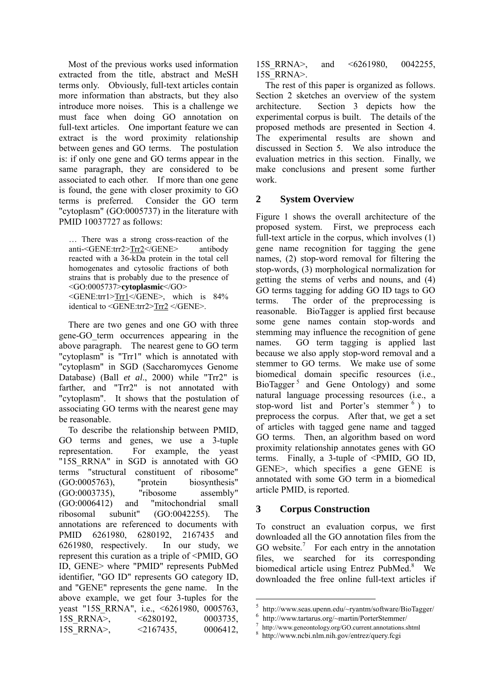Most of the previous works used information extracted from the title, abstract and MeSH terms only. Obviously, full-text articles contain more information than abstracts, but they also introduce more noises. This is a challenge we must face when doing GO annotation on full-text articles. One important feature we can extract is the word proximity relationship between genes and GO terms. The postulation is: if only one gene and GO terms appear in the same paragraph, they are considered to be associated to each other. If more than one gene is found, the gene with closer proximity to GO terms is preferred. Consider the GO term "cytoplasm" (GO:0005737) in the literature with PMID 10037727 as follows:

… There was a strong cross-reaction of the anti-<GENE:trr2>Trr2</GENE> antibody reacted with a 36-kDa protein in the total cell homogenates and cytosolic fractions of both strains that is probably due to the presence of <GO:0005737>**cytoplasmic**</GO> <GENE:trr1>Trr1</GENE>, which is 84% identical to <GENE:trr2>Trr2 </GENE>.

There are two genes and one GO with three gene-GO\_term occurrences appearing in the above paragraph. The nearest gene to GO term "cytoplasm" is "Trr1" which is annotated with "cytoplasm" in SGD (Saccharomyces Genome Database) (Ball *et al*., 2000) while "Trr2" is farther, and "Trr2" is not annotated with "cytoplasm". It shows that the postulation of associating GO terms with the nearest gene may be reasonable.

To describe the relationship between PMID, GO terms and genes, we use a 3-tuple representation. For example, the yeast "15S\_RRNA" in SGD is annotated with GO terms "structural constituent of ribosome" (GO:0005763), "protein biosynthesis" (GO:0003735), "ribosome assembly" (GO:0006412) and "mitochondrial small ribosomal subunit" (GO:0042255). The annotations are referenced to documents with PMID 6261980, 6280192, 2167435 and 6261980, respectively. In our study, we represent this curation as a triple of <PMID, GO ID, GENE> where "PMID" represents PubMed identifier, "GO ID" represents GO category ID, and "GENE" represents the gene name. In the above example, we get four 3-tuples for the yeast "15S\_RRNA", i.e., <6261980, 0005763, 15S\_RRNA>, <6280192, 0003735, 15S\_RRNA>, <2167435, 0006412,

15S\_RRNA>, and <6261980, 0042255, 15S\_RRNA>.

The rest of this paper is organized as follows. Section 2 sketches an overview of the system architecture. Section 3 depicts how the experimental corpus is built. The details of the proposed methods are presented in Section 4. The experimental results are shown and discussed in Section 5. We also introduce the evaluation metrics in this section. Finally, we make conclusions and present some further work.

# **2 System Overview**

Figure 1 shows the overall architecture of the proposed system. First, we preprocess each full-text article in the corpus, which involves (1) gene name recognition for tagging the gene names, (2) stop-word removal for filtering the stop-words, (3) morphological normalization for getting the stems of verbs and nouns, and (4) GO terms tagging for adding GO ID tags to GO terms. The order of the preprocessing is reasonable. BioTagger is applied first because some gene names contain stop-words and stemming may influence the recognition of gene names. GO term tagging is applied last because we also apply stop-word removal and a stemmer to GO terms. We make use of some biomedical domain specific resources (i.e., BioTagger<sup>5</sup> and Gene Ontology) and some natural language processing resources (i.e., a stop-word list and Porter's stemmer <sup>6</sup> ) to preprocess the corpus. After that, we get a set of articles with tagged gene name and tagged GO terms. Then, an algorithm based on word proximity relationship annotates genes with GO terms. Finally, a 3-tuple of <PMID, GO ID, GENE>, which specifies a gene GENE is annotated with some GO term in a biomedical article PMID, is reported.

# **3 Corpus Construction**

 $\overline{a}$ 

To construct an evaluation corpus, we first downloaded all the GO annotation files from the GO website.<sup>7</sup> For each entry in the annotation files, we searched for its corresponding biomedical article using Entrez PubMed.<sup>8</sup> We downloaded the free online full-text articles if

 $5$  http://www.seas.upenn.edu/~ryantm/software/BioTagger/<br>  $6$  http://www.tartarus.org/~martin/PorterStemmer/<br>  $7$  http://www.geneontology.org/GO.current.annotations.shtml

http://www.ncbi.nlm.nih.gov/entrez/query.fcgi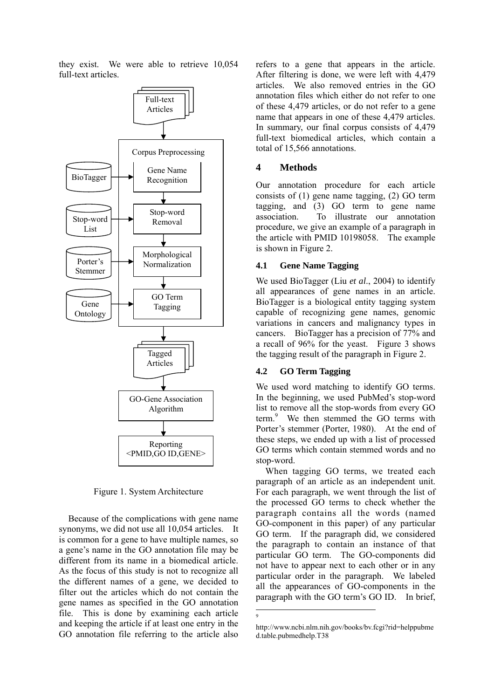they exist. We were able to retrieve 10,054 full-text articles.



Figure 1. System Architecture

Because of the complications with gene name synonyms, we did not use all 10,054 articles. It is common for a gene to have multiple names, so a gene's name in the GO annotation file may be different from its name in a biomedical article. As the focus of this study is not to recognize all the different names of a gene, we decided to filter out the articles which do not contain the gene names as specified in the GO annotation file. This is done by examining each article and keeping the article if at least one entry in the GO annotation file referring to the article also

refers to a gene that appears in the article. After filtering is done, we were left with 4,479 articles. We also removed entries in the GO annotation files which either do not refer to one of these 4,479 articles, or do not refer to a gene name that appears in one of these 4,479 articles. In summary, our final corpus consists of 4,479 full-text biomedical articles, which contain a total of 15,566 annotations.

#### **4 Methods**

Our annotation procedure for each article consists of (1) gene name tagging, (2) GO term tagging, and (3) GO term to gene name association. To illustrate our annotation procedure, we give an example of a paragraph in the article with PMID 10198058. The example is shown in Figure 2.

#### **4.1 Gene Name Tagging**

We used BioTagger (Liu *et al*., 2004) to identify all appearances of gene names in an article. BioTagger is a biological entity tagging system capable of recognizing gene names, genomic variations in cancers and malignancy types in cancers. BioTagger has a precision of 77% and a recall of 96% for the yeast. Figure 3 shows the tagging result of the paragraph in Figure 2.

# **4.2 GO Term Tagging**

We used word matching to identify GO terms. In the beginning, we used PubMed's stop-word list to remove all the stop-words from every GO term.<sup>9</sup> We then stemmed the GO terms with Porter's stemmer (Porter, 1980). At the end of these steps, we ended up with a list of processed GO terms which contain stemmed words and no stop-word.

When tagging GO terms, we treated each paragraph of an article as an independent unit. For each paragraph, we went through the list of the processed GO terms to check whether the paragraph contains all the words (named GO-component in this paper) of any particular GO term. If the paragraph did, we considered the paragraph to contain an instance of that particular GO term. The GO-components did not have to appear next to each other or in any particular order in the paragraph. We labeled all the appearances of GO-components in the paragraph with the GO term's GO ID. In brief,

 $\overline{a}$ 9

http://www.ncbi.nlm.nih.gov/books/bv.fcgi?rid=helppubme d.table.pubmedhelp.T38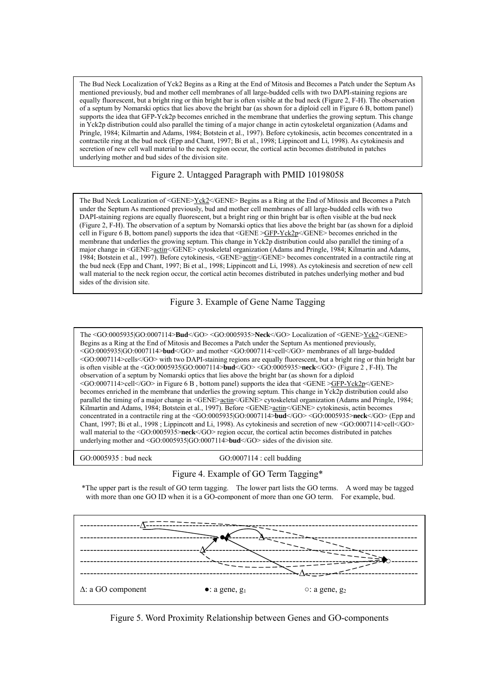The Bud Neck Localization of Yck2 Begins as a Ring at the End of Mitosis and Becomes a Patch under the Septum As mentioned previously, bud and mother cell membranes of all large-budded cells with two DAPI-staining regions are equally fluorescent, but a bright ring or thin bright bar is often visible at the bud neck (Figure 2, F-H). The observation of a septum by Nomarski optics that lies above the bright bar (as shown for a diploid cell in Figure 6 B, bottom panel) supports the idea that GFP-Yck2p becomes enriched in the membrane that underlies the growing septum. This change in  $\overline{Y}$ ck2p distribution could also parallel the timing of a major change in actin cytoskeletal organization (Adams and Pringle, 1984; Kilmartin and Adams, 1984; Botstein et al., 1997). Before cytokinesis, actin becomes concentrated in a contractile ring at the bud neck (Epp and Chant, 1997; Bi et al., 1998; Lippincott and Li, 1998). As cytokinesis and secretion of new cell wall material to the neck region occur, the cortical actin becomes distributed in patches underlying mother and bud sides of the division site.

### Figure 2. Untagged Paragraph with PMID 10198058

The Bud Neck Localization of <GENE>Yck2</GENE> Begins as a Ring at the End of Mitosis and Becomes a Patch under the Septum As mentioned previously, bud and mother cell membranes of all large-budded cells with two DAPI-staining regions are equally fluorescent, but a bright ring or thin bright bar is often visible at the bud neck (Figure 2, F-H). The observation of a septum by Nomarski optics that lies above the bright bar (as shown for a diploid cell in Figure 6 B, bottom panel) supports the idea that <GENE >GFP-Yck2p</GENE> becomes enriched in the membrane that underlies the growing septum. This change in Yck2p distribution could also parallel the timing of a major change in <GENE>actin</GENE> cytoskeletal organization (Adams and Pringle, 1984; Kilmartin and Adams, 1984; Botstein et al., 1997). Before cytokinesis, <GENE>actin</GENE> becomes concentrated in a contractile ring at the bud neck (Epp and Chant, 1997; Bi et al., 1998; Lippincott and Li, 1998). As cytokinesis and secretion of new cell wall material to the neck region occur, the cortical actin becomes distributed in patches underlying mother and bud sides of the division site.

#### Figure 3. Example of Gene Name Tagging

The <GO:0005935|GO:0007114>**Bud**</GO> <GO:0005935>**Neck**</GO> Localization of <GENE>Yck2</GENE> Begins as a Ring at the End of Mitosis and Becomes a Patch under the Septum As mentioned previously, <GO:0005935|GO:0007114>**bud**</GO> and mother <GO:0007114>cell</GO> membranes of all large-budded <GO:0007114>cells</GO> with two DAPI-staining regions are equally fluorescent, but a bright ring or thin bright bar is often visible at the <GO:0005935|GO:0007114>**bud**</GO> <GO:0005935>**neck**</GO> (Figure 2 , F-H). The observation of a septum by Nomarski optics that lies above the bright bar (as shown for a diploid <GO:0007114>cell</GO> in Figure 6 B, bottom panel) supports the idea that <GENE > $S$ FP-Yck2p</GENE> becomes enriched in the membrane that underlies the growing septum. This change in Yck2p distribution could also parallel the timing of a major change in <GENE><u>actin</u></GENE> cytoskeletal organization (Adams and Pringle, 1984; Kilmartin and Adams, 1984; Botstein et al., 1997). Before <GENE>actin</GENE> cytokinesis, actin becomes concentrated in a contractile ring at the <GO:0005935|GO:0007114>**bud**</GO> <GO:0005935>**neck**</GO> (Epp and Chant, 1997; Bi et al., 1998 ; Lippincott and Li, 1998). As cytokinesis and secretion of new <GO:0007114>cell</GO> wall material to the <GO:0005935>**neck**</GO> region occur, the cortical actin becomes distributed in patches underlying mother and <GO:0005935|GO:0007114>**bud**</GO> sides of the division site.

GO:0005935 : bud neck GO:0007114 : cell budding

#### Figure 4. Example of GO Term Tagging\*

\*The upper part is the result of GO term tagging. The lower part lists the GO terms. A word may be tagged with more than one GO ID when it is a GO-component of more than one GO term. For example, bud.



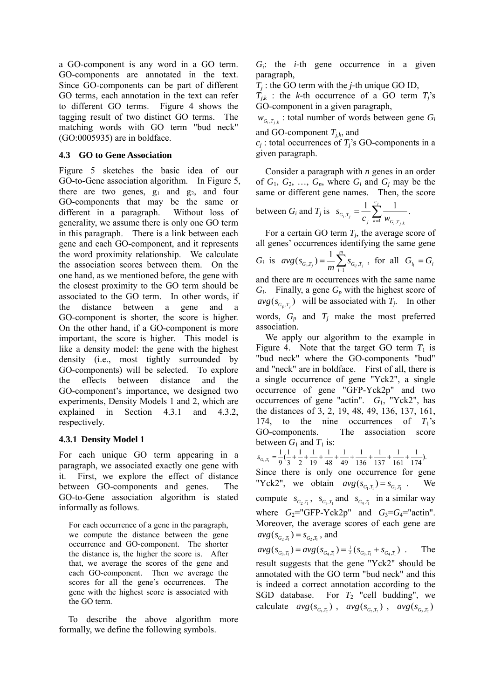a GO-component is any word in a GO term. GO-components are annotated in the text. Since GO-components can be part of different GO terms, each annotation in the text can refer to different GO terms. Figure 4 shows the tagging result of two distinct GO terms. The matching words with GO term "bud neck" (GO:0005935) are in boldface.

#### **4.3 GO to Gene Association**

Figure 5 sketches the basic idea of our GO-to-Gene association algorithm. In Figure 5, there are two genes,  $g_1$  and  $g_2$ , and four GO-components that may be the same or different in a paragraph. Without loss of generality, we assume there is only one GO term in this paragraph. There is a link between each gene and each GO-component, and it represents the word proximity relationship. We calculate the association scores between them. On the one hand, as we mentioned before, the gene with the closest proximity to the GO term should be associated to the GO term. In other words, if the distance between a gene and a GO-component is shorter, the score is higher. On the other hand, if a GO-component is more important, the score is higher. This model is like a density model: the gene with the highest density (i.e., most tightly surrounded by GO-components) will be selected. To explore the effects between distance and the GO-component's importance, we designed two experiments, Density Models 1 and 2, which are explained in Section 4.3.1 and 4.3.2, respectively.

#### **4.3.1 Density Model 1**

For each unique GO term appearing in a paragraph, we associated exactly one gene with it. First, we explore the effect of distance between GO-components and genes. The GO-to-Gene association algorithm is stated informally as follows.

For each occurrence of a gene in the paragraph, we compute the distance between the gene occurrence and GO-component. The shorter the distance is, the higher the score is. After that, we average the scores of the gene and each GO-component. Then we average the scores for all the gene's occurrences. The gene with the highest score is associated with the GO term.

To describe the above algorithm more formally, we define the following symbols.

*Gi*: the *i-*th gene occurrence in a given paragraph,

*Tj* : the GO term with the *j-*th unique GO ID,

 $T_{j,k}$  : the *k*-th occurrence of a GO term  $T_j$ 's GO-component in a given paragraph,

 $W_{G_i, T_{i,k}}$ : total number of words between gene  $G_i$ and GO-component  $T_{j,k}$ , and

 $c_i$ : total occurrences of  $T_i$ 's GO-components in a given paragraph.

Consider a paragraph with *n* genes in an order of  $G_1, G_2, \ldots, G_n$ , where  $G_i$  and  $G_j$  may be the same or different gene names. Then, the score between  $G_i$  and  $T_j$  is  $s_{G_i,T_j} = \frac{1}{c_j} \sum_{k=1}^{c_j}$  $i<sup>J</sup> j,k$ *i j c*  $S_{G_i,T_j} = \frac{1}{c_j} \sum_{k=1}^{r} \frac{1}{W_{G_i,T_i}}$  $x_j = c_j \sum_{k=1}^{\infty} w_{G_i}$ ,  $\frac{1}{2} \sum_{i=1}^{c_j} \frac{1}{i}$ .

For a certain GO term  $T_i$ , the average score of all genes' occurrences identifying the same gene *G<sub>i</sub>* is  $avg(s_{G_i,T_j}) = \frac{1}{m} \sum_{i=1}^{m}$  $S_{G_i,T_j}$ ) =  $\frac{1}{m} \sum_{l=1}^{n} S_{G_{i_l},T_j}$ *avg s*  $(s_{G_i,T_j}) = \frac{1}{m} \sum_{l=1}^{m} s_{G_{i_l},T_j}$ , for all  $G_{i_l} = G_i$ and there are *m* occurrences with the same name *Gi*. Finally, a gene *Gp* with the highest score of

 $avg(s_{G_n,T_i})$  will be associated with  $T_j$ . In other words, *Gp* and *Tj* make the most preferred association.

We apply our algorithm to the example in Figure 4. Note that the target GO term  $T_1$  is "bud neck" where the GO-components "bud" and "neck" are in boldface. First of all, there is a single occurrence of gene "Yck2", a single occurrence of gene "GFP-Yck2p" and two occurrences of gene "actin". *G*1, "Yck2", has the distances of 3, 2, 19, 48, 49, 136, 137, 161, 174, to the nine occurrences of  $T_1$ 's GO-components. The association score between  $G_1$  and  $T_1$  is:

 $\frac{1}{174}$ ). 161 1 137 1 136 1 49 1 48 1 19 1 2 1 3  $rac{1}{9}(\frac{1}{3})$  $s_{G_1,T_1} = \frac{1}{0}(\frac{1}{2} + \frac{1}{2} + \frac{1}{10} + \frac{1}{48} + \frac{1}{40} + \frac{1}{126} + \frac{1}{127} + \frac{1}{161} + \frac{1}{174}).$ Since there is only one occurrence for gene "Yck2", we obtain  $avg(s_{G_1,T_1}) = s_{G_1,T_1}$ . We compute  $s_{G_2,T_1}$ ,  $s_{G_3,T_1}$  and  $s_{G_4,T_1}$  in a similar way where  $G_2$ ="GFP-Yck2p" and  $G_3$ = $G_4$ ="actin". Moreover, the average scores of each gene are  $avg(s_{G_2, T_1}) = s_{G_2, T_1}$ , and

 $avg(s_{G_3,T_1}) = avg(s_{G_4,T_1}) = \frac{1}{2}(s_{G_3,T_1} + s_{G_4,T_1})$ . The result suggests that the gene "Yck2" should be annotated with the GO term "bud neck" and this is indeed a correct annotation according to the SGD database. For  $T_2$  "cell budding", we calculate  $avg(s_{G,T_1})$ ,  $avg(s_{G,T_2})$ ,  $avg(s_{G,T_3})$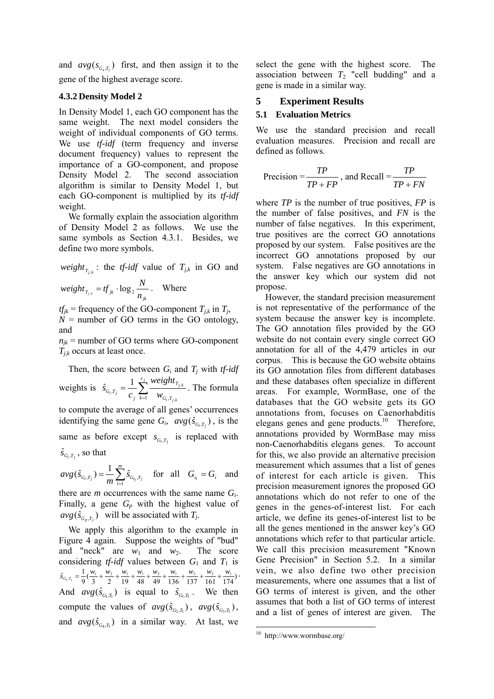and  $avg(s_{G,T}^{\prime})$  first, and then assign it to the gene of the highest average score.

#### **4.3.2 Density Model 2**

In Density Model 1, each GO component has the same weight. The next model considers the weight of individual components of GO terms. We use *tf-idf* (term frequency and inverse document frequency) values to represent the importance of a GO-component, and propose Density Model 2. The second association algorithm is similar to Density Model 1, but each GO-component is multiplied by its *tf-idf* weight.

We formally explain the association algorithm of Density Model 2 as follows. We use the same symbols as Section 4.3.1. Besides, we define two more symbols.

*weight*<sub> $T_{i,k}$ </sub> : the *tf-idf* value of  $T_{j,k}$  in GO and

$$
weight_{T_{j,k}} = tf_{jk} \cdot \log_2 \frac{N}{n_{jk}}.
$$
 Where

 $tf_{jk}$  = frequency of the GO-component  $T_{j,k}$  in  $T_j$ ,  $N =$  number of GO terms in the GO ontology, and

 $n_{jk}$  = number of GO terms where GO-component  $T_{ik}$  occurs at least once.

Then, the score between  $G_i$  and  $T_j$  with *tf-idf* weights is  $\hat{s}_{G_i,T_j} = \frac{1}{c_j} \sum_{k=1}^{c_j}$  $i<sup>J</sup> j,k$ *j k i j c*  $k=1$   $W_{G_i,T}$ *T*  $g_{i}$ ,  $T_{j}$  *C*  $\sum_{j}$  *W*  $\sum_{k=1}^{N}$  *W weight c s*  $x_j - c_j \sum_{k=1}^{\infty} w_{G_i}$ ,  $\hat{s}_{a,r} = \frac{1}{n} \sum_{i=1}^{c_j} \frac{weight_{r_{j,k}}}{s}$ . The formula to compute the average of all genes' occurrences identifying the same gene  $G_i$ ,  $avg(\hat{s}_{G_i,T_i})$ , is the

same as before except  $s_{G_i,T_i}$  is replaced with

$$
\hat{s}_{G_i,T_j}
$$
, so that

 $=\frac{1}{m}\sum_{l=1}^{m}$  $\hat{G}_{i,T_j}$ ) =  $\frac{1}{m} \sum_{l=1}^{n} \hat{S}_{G_{i_l},T_j}$ *avg s*  $(\hat{s}_{G_i,T_j}) = \frac{1}{m} \sum_{l=1}^{m} \hat{s}_{G_{l_l},T_j}$  for all  $G_{i_l} = G_i$  and

there are *m* occurrences with the same name *Gi*. Finally, a gene  $G_p$  with the highest value of  $avg(\hat{s}_{G_n,T_i})$  will be associated with *T<sub>j</sub>*.

We apply this algorithm to the example in Figure 4 again. Suppose the weights of "bud" and "neck" are  $w_1$  and  $w_2$ . The score considering *tf-idf* values between  $G_1$  and  $T_1$  is  $\hat{s}_{c_i, \tau_i} = \frac{1}{9} (\frac{w_1}{3} + \frac{w_2}{2} + \frac{w_1}{19} + \frac{w_1}{48} + \frac{w_2}{49} + \frac{w_1}{136} + \frac{w_2}{137} + \frac{w_2}{161} + \frac{w_1}{174})$ . And  $avg(\hat{s}_{G_1,T_1})$  is equal to  $\hat{s}_{G_1,T_1}$ . We then compute the values of  $avg(\hat{s}_{G, T_i})$ ,  $avg(\hat{s}_{G, T_i})$ , and  $avg(\hat{s}_{G,T})$  in a similar way. At last, we

select the gene with the highest score. The association between  $T_2$  "cell budding" and a gene is made in a similar way.

#### **5 Experiment Results**

#### **5.1 Evaluation Metrics**

We use the standard precision and recall evaluation measures. Precision and recall are defined as follows.

$$
Precision = \frac{TP}{TP + FP}
$$
, and Recall = 
$$
\frac{TP}{TP + FN}
$$

where *TP* is the number of true positives, *FP* is the number of false positives, and *FN* is the number of false negatives. In this experiment, true positives are the correct GO annotations proposed by our system. False positives are the incorrect GO annotations proposed by our system. False negatives are GO annotations in the answer key which our system did not propose.

However, the standard precision measurement is not representative of the performance of the system because the answer key is incomplete. The GO annotation files provided by the GO website do not contain every single correct GO annotation for all of the 4,479 articles in our corpus. This is because the GO website obtains its GO annotation files from different databases and these databases often specialize in different areas. For example, WormBase, one of the databases that the GO website gets its GO annotations from, focuses on Caenorhabditis elegans genes and gene products.<sup>10</sup> Therefore, annotations provided by WormBase may miss non-Caenorhabditis elegans genes. To account for this, we also provide an alternative precision measurement which assumes that a list of genes of interest for each article is given. This precision measurement ignores the proposed GO annotations which do not refer to one of the genes in the genes-of-interest list. For each article, we define its genes-of-interest list to be all the genes mentioned in the answer key's GO annotations which refer to that particular article. We call this precision measurement "Known Gene Precision" in Section 5.2. In a similar vein, we also define two other precision measurements, where one assumes that a list of GO terms of interest is given, and the other assumes that both a list of GO terms of interest and a list of genes of interest are given. The

 $\overline{a}$ 

<sup>10</sup> http://www.wormbase.org/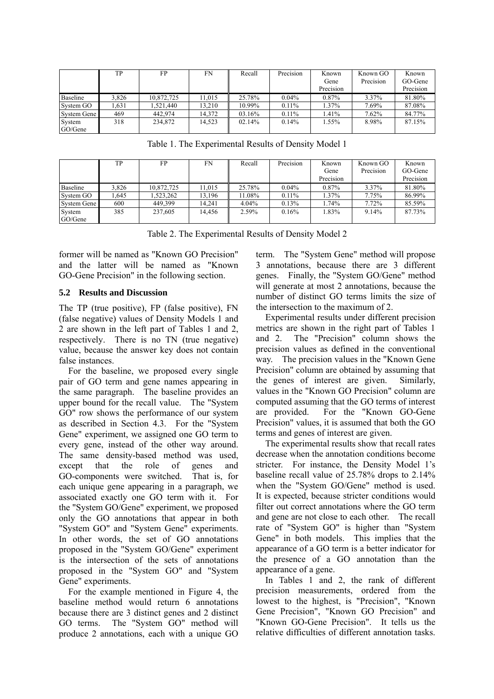|                   | TP    | FP         | FN     | Recall | Precision | Known<br>Gene<br>Precision | Known GO<br>Precision | Known<br>GO-Gene<br>Precision |
|-------------------|-------|------------|--------|--------|-----------|----------------------------|-----------------------|-------------------------------|
| Baseline          | 3,826 | 10,872,725 | 11,015 | 25.78% | $0.04\%$  | 0.87%                      | 3.37%                 | 81.80%                        |
| System GO         | .631  | .521.440   | 13.210 | 10.99% | $0.11\%$  | $1.37\%$                   | 7.69%                 | 87.08%                        |
| System Gene       | 469   | 442.974    | 14.372 | 03.16% | $0.11\%$  | .41%                       | 7.62%                 | 84.77%                        |
| System<br>GO/Gene | 318   | 234,872    | 14,523 | 02.14% | 0.14%     | .55%                       | 8.98%                 | 87.15%                        |

Table 1. The Experimental Results of Density Model 1

|             | TP    | FP         | FN     | Recall   | Precision | Known     | Known GO  | Known     |
|-------------|-------|------------|--------|----------|-----------|-----------|-----------|-----------|
|             |       |            |        |          |           | Gene      | Precision | GO-Gene   |
|             |       |            |        |          |           | Precision |           | Precision |
| Baseline    | 3.826 | 10,872,725 | 11,015 | 25.78%   | $0.04\%$  | 0.87%     | 3.37%     | 81.80%    |
| System GO   | .645  | .523.262   | 13.196 | 11.08%   | $0.11\%$  | 1.37%     | 7.75%     | 86.99%    |
| System Gene | 600   | 449.399    | 14.241 | $4.04\%$ | 0.13%     | l.74%     | 7.72%     | 85.59%    |
| System      | 385   | 237,605    | 14.456 | 2.59%    | 0.16%     | 1.83%     | 9.14%     | 87.73%    |
| GO/Gene     |       |            |        |          |           |           |           |           |

Table 2. The Experimental Results of Density Model 2

former will be named as "Known GO Precision" and the latter will be named as "Known GO-Gene Precision" in the following section.

### **5.2 Results and Discussion**

The TP (true positive), FP (false positive), FN (false negative) values of Density Models 1 and 2 are shown in the left part of Tables 1 and 2, respectively. There is no TN (true negative) value, because the answer key does not contain false instances.

For the baseline, we proposed every single pair of GO term and gene names appearing in the same paragraph. The baseline provides an upper bound for the recall value. The "System GO" row shows the performance of our system as described in Section 4.3. For the "System Gene" experiment, we assigned one GO term to every gene, instead of the other way around. The same density-based method was used, except that the role of genes and GO-components were switched. That is, for each unique gene appearing in a paragraph, we associated exactly one GO term with it. For the "System GO/Gene" experiment, we proposed only the GO annotations that appear in both "System GO" and "System Gene" experiments. In other words, the set of GO annotations proposed in the "System GO/Gene" experiment is the intersection of the sets of annotations proposed in the "System GO" and "System Gene" experiments.

For the example mentioned in Figure 4, the baseline method would return 6 annotations because there are 3 distinct genes and 2 distinct GO terms. The "System GO" method will produce 2 annotations, each with a unique GO

term. The "System Gene" method will propose 3 annotations, because there are 3 different genes. Finally, the "System GO/Gene" method will generate at most 2 annotations, because the number of distinct GO terms limits the size of the intersection to the maximum of 2.

Experimental results under different precision metrics are shown in the right part of Tables 1 and 2. The "Precision" column shows the precision values as defined in the conventional way. The precision values in the "Known Gene Precision" column are obtained by assuming that the genes of interest are given. Similarly, values in the "Known GO Precision" column are computed assuming that the GO terms of interest are provided. For the "Known GO-Gene Precision" values, it is assumed that both the GO terms and genes of interest are given.

The experimental results show that recall rates decrease when the annotation conditions become stricter. For instance, the Density Model 1's baseline recall value of 25.78% drops to 2.14% when the "System GO/Gene" method is used. It is expected, because stricter conditions would filter out correct annotations where the GO term and gene are not close to each other. The recall rate of "System GO" is higher than "System Gene" in both models. This implies that the appearance of a GO term is a better indicator for the presence of a GO annotation than the appearance of a gene.

In Tables 1 and 2, the rank of different precision measurements, ordered from the lowest to the highest, is "Precision", "Known Gene Precision", "Known GO Precision" and "Known GO-Gene Precision". It tells us the relative difficulties of different annotation tasks.